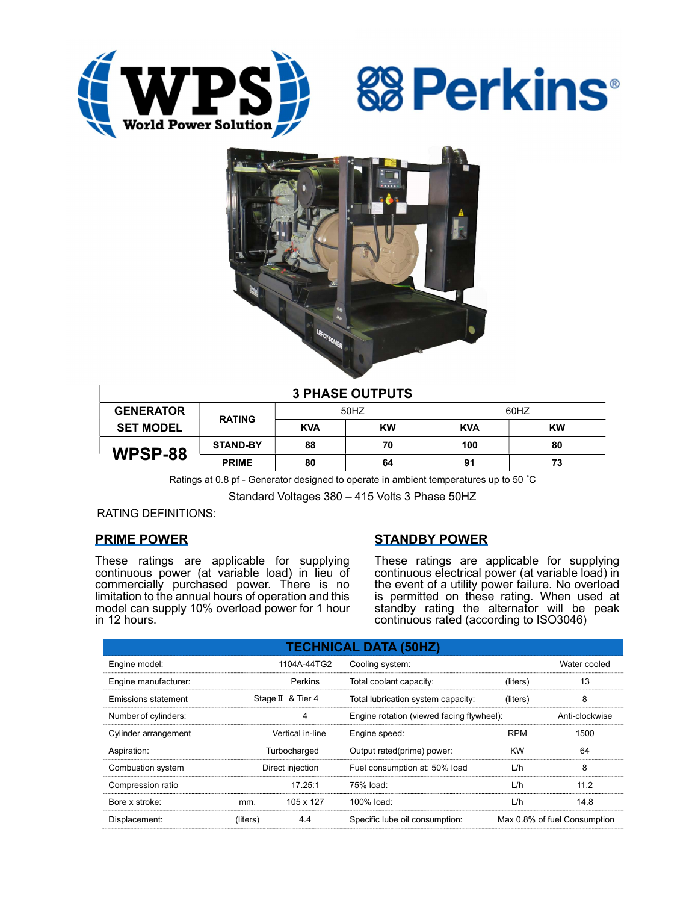





| <b>3 PHASE OUTPUTS</b> |                 |            |           |            |           |  |  |  |
|------------------------|-----------------|------------|-----------|------------|-----------|--|--|--|
| <b>GENERATOR</b>       | <b>RATING</b>   | 50HZ       |           | 60HZ       |           |  |  |  |
| <b>SET MODEL</b>       |                 | <b>KVA</b> | <b>KW</b> | <b>KVA</b> | <b>KW</b> |  |  |  |
| WPSP-88                | <b>STAND-BY</b> | 88         | 70        | 100        | 80        |  |  |  |
|                        | <b>PRIME</b>    | 80         | 64        | 91         | 73        |  |  |  |

Ratings at 0.8 pf - Generator designed to operate in ambient temperatures up to 50 °C

Standard Voltages 380 – 415 Volts 3 Phase 50HZ

### RATING DEFINITIONS:

### PRIME POWER

These ratings are applicable for supplying continuous power (at variable load) in lieu of commercially purchased power. There is no limitation to the annual hours of operation and this model can supply 10% overload power for 1 hour in 12 hours.

### STANDBY POWER

These ratings are applicable for supplying continuous electrical power (at variable load) in the event of a utility power failure. No overload is permitted on these rating. When used at standby rating the alternator will be peak continuous rated (according to ISO3046)

| <b>TECHNICAL DATA (50HZ)</b> |                  |                   |                                           |                              |                |  |  |  |  |
|------------------------------|------------------|-------------------|-------------------------------------------|------------------------------|----------------|--|--|--|--|
| Engine model:                |                  | 1104A-44TG2       | Cooling system:                           |                              | Water cooled   |  |  |  |  |
| Engine manufacturer:         |                  | Perkins           | Total coolant capacity:                   | (liters)                     | 13             |  |  |  |  |
| Emissions statement          |                  | Stage II & Tier 4 | Total lubrication system capacity:        | (liters)                     | 8              |  |  |  |  |
| Number of cylinders:         |                  | 4                 | Engine rotation (viewed facing flywheel): |                              | Anti-clockwise |  |  |  |  |
| Cylinder arrangement         | Vertical in-line |                   | Engine speed:                             | <b>RPM</b>                   | 1500           |  |  |  |  |
| Aspiration:                  | Turbocharged     |                   | Output rated(prime) power:                | <b>KW</b>                    | 64             |  |  |  |  |
| Combustion system            | Direct injection |                   | Fuel consumption at: 50% load             | L/h                          | 8              |  |  |  |  |
| Compression ratio            |                  | 17.25:1           | $75%$ load:                               | L/h                          | 112            |  |  |  |  |
| Bore x stroke:               | mm.              | 105 x 127         | 100% load:                                | L/h                          | 14.8           |  |  |  |  |
| Displacement:                | (liters)         | 4.4               | Specific lube oil consumption:            | Max 0.8% of fuel Consumption |                |  |  |  |  |